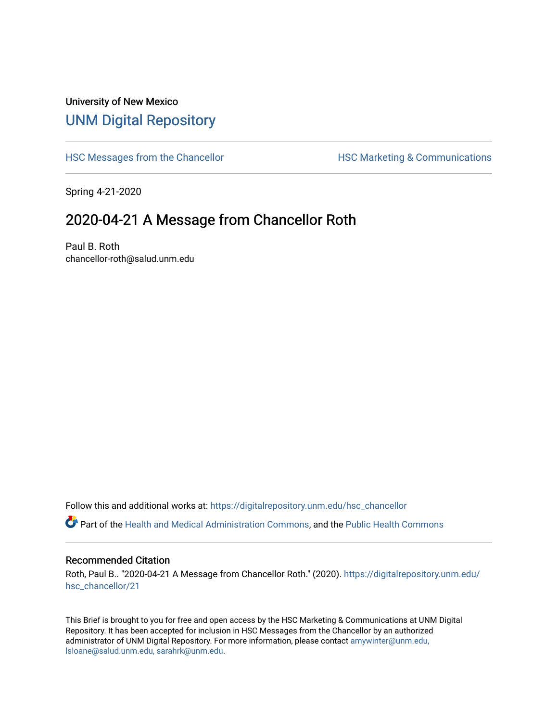## University of New Mexico [UNM Digital Repository](https://digitalrepository.unm.edu/)

[HSC Messages from the Chancellor](https://digitalrepository.unm.edu/hsc_chancellor) **HSC Marketing & Communications** 

Spring 4-21-2020

## 2020-04-21 A Message from Chancellor Roth

Paul B. Roth chancellor-roth@salud.unm.edu

Follow this and additional works at: [https://digitalrepository.unm.edu/hsc\\_chancellor](https://digitalrepository.unm.edu/hsc_chancellor?utm_source=digitalrepository.unm.edu%2Fhsc_chancellor%2F21&utm_medium=PDF&utm_campaign=PDFCoverPages) 

Part of the [Health and Medical Administration Commons](http://network.bepress.com/hgg/discipline/663?utm_source=digitalrepository.unm.edu%2Fhsc_chancellor%2F21&utm_medium=PDF&utm_campaign=PDFCoverPages), and the [Public Health Commons](http://network.bepress.com/hgg/discipline/738?utm_source=digitalrepository.unm.edu%2Fhsc_chancellor%2F21&utm_medium=PDF&utm_campaign=PDFCoverPages) 

## Recommended Citation

Roth, Paul B.. "2020-04-21 A Message from Chancellor Roth." (2020). [https://digitalrepository.unm.edu/](https://digitalrepository.unm.edu/hsc_chancellor/21?utm_source=digitalrepository.unm.edu%2Fhsc_chancellor%2F21&utm_medium=PDF&utm_campaign=PDFCoverPages) [hsc\\_chancellor/21](https://digitalrepository.unm.edu/hsc_chancellor/21?utm_source=digitalrepository.unm.edu%2Fhsc_chancellor%2F21&utm_medium=PDF&utm_campaign=PDFCoverPages) 

This Brief is brought to you for free and open access by the HSC Marketing & Communications at UNM Digital Repository. It has been accepted for inclusion in HSC Messages from the Chancellor by an authorized administrator of UNM Digital Repository. For more information, please contact [amywinter@unm.edu,](mailto:amywinter@unm.edu,%20lsloane@salud.unm.edu,%20sarahrk@unm.edu) [lsloane@salud.unm.edu, sarahrk@unm.edu.](mailto:amywinter@unm.edu,%20lsloane@salud.unm.edu,%20sarahrk@unm.edu)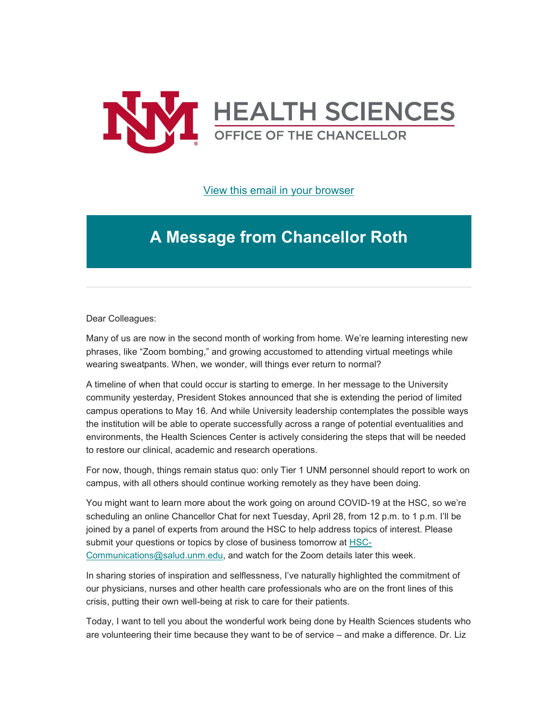

[View this email in your browser](https://mailchi.mp/c9cf4881f1c4/message-from-the-chancellor-coronavirus-4393732?e=b4bbfca2c0)

## **A Message from Chancellor Roth**

Dear Colleagues:

Many of us are now in the second month of working from home. We're learning interesting new phrases, like "Zoom bombing," and growing accustomed to attending virtual meetings while wearing sweatpants. When, we wonder, will things ever return to normal?

A timeline of when that could occur is starting to emerge. In her message to the University community yesterday, President Stokes announced that she is extending the period of limited campus operations to May 16. And while University leadership contemplates the possible ways the institution will be able to operate successfully across a range of potential eventualities and environments, the Health Sciences Center is actively considering the steps that will be needed to restore our clinical, academic and research operations.

For now, though, things remain status quo: only Tier 1 UNM personnel should report to work on campus, with all others should continue working remotely as they have been doing.

You might want to learn more about the work going on around COVID-19 at the HSC, so we're scheduling an online Chancellor Chat for next Tuesday, April 28, from 12 p.m. to 1 p.m. I'll be joined by a panel of experts from around the HSC to help address topics of interest. Please submit your questions or topics by close of business tomorrow at [HSC-](mailto:HSC-Communications@salud.unm.edu?subject=Chancellor%20Chat%20Question)[Communications@salud.unm.edu,](mailto:HSC-Communications@salud.unm.edu?subject=Chancellor%20Chat%20Question) and watch for the Zoom details later this week.

In sharing stories of inspiration and selflessness, I've naturally highlighted the commitment of our physicians, nurses and other health care professionals who are on the front lines of this crisis, putting their own well-being at risk to care for their patients.

Today, I want to tell you about the wonderful work being done by Health Sciences students who are volunteering their time because they want to be of service – and make a difference. Dr. Liz